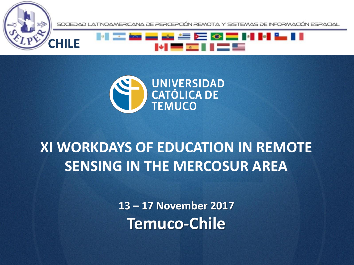





**CHILE**

### **XI WORKDAYS OF EDUCATION IN REMOTE SENSING IN THE MERCOSUR AREA**

**13 – 17 November 2017 Temuco-Chile**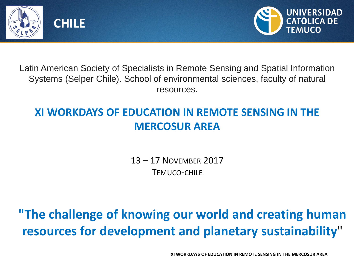



Latin American Society of Specialists in Remote Sensing and Spatial Information Systems (Selper Chile). School of environmental sciences, faculty of natural resources.

#### **XI WORKDAYS OF EDUCATION IN REMOTE SENSING IN THE MERCOSUR AREA**

13 – 17 NOVEMBER 2017 TEMUCO-CHILE

**"The challenge of knowing our world and creating human resources for development and planetary sustainability**"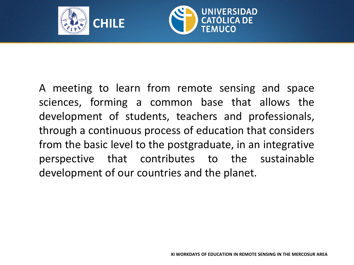



A meeting to learn from remote sensing and space sciences, forming a common base that allows the development of students, teachers and professionals, through a continuous process of education that considers from the basic level to the postgraduate, in an integrative perspective that contributes to the sustainable development of our countries and the planet.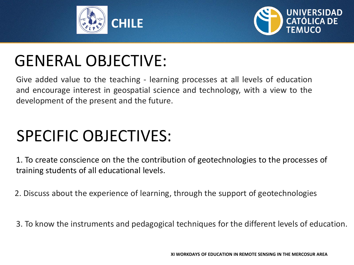



## GENERAL OBJECTIVE:

Give added value to the teaching - learning processes at all levels of education and encourage interest in geospatial science and technology, with a view to the development of the present and the future.

## SPECIFIC OBJECTIVES:

1. To create conscience on the the contribution of geotechnologies to the processes of training students of all educational levels.

2. Discuss about the experience of learning, through the support of geotechnologies

3. To know the instruments and pedagogical techniques for the different levels of education.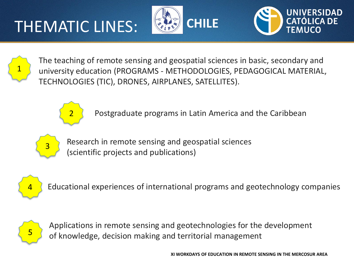# THEMATIC LINES:







The teaching of remote sensing and geospatial sciences in basic, secondary and university education (PROGRAMS - METHODOLOGIES, PEDAGOGICAL MATERIAL, TECHNOLOGIES (TIC), DRONES, AIRPLANES, SATELLITES).



Postgraduate programs in Latin America and the Caribbean



Research in remote sensing and geospatial sciences (scientific projects and publications)



Educational experiences of international programs and geotechnology companies



Applications in remote sensing and geotechnologies for the development of knowledge, decision making and territorial management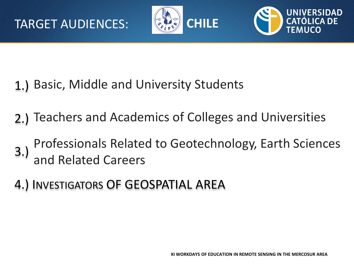



- 1.) Basic, Middle and University Students
- 2.) Teachers and Academics of Colleges and Universities
- 3.) Professionals Related to Geotechnology, Earth Sciences and Related Careers
- 4.) INVESTIGATORS OF GEOSPATIAL AREA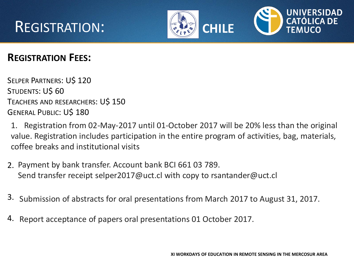





#### **REGISTRATION FEES:**

SELPER PARTNERS: U\$ 120 STUDENTS: U\$60 TEACHERS AND RESEARCHERS: U\$ 150 GENERAL PUBLIC: U\$ 180

1. Registration from 02-May-2017 until 01-October 2017 will be 20% less than the original value. Registration includes participation in the entire program of activities, bag, materials, coffee breaks and institutional visits

- 2. Payment by bank transfer. Account bank BCI 661 03 789. Send transfer receipt selper2017@uct.cl with copy to rsantander@uct.cl
- 3. Submission of abstracts for oral presentations from March 2017 to August 31, 2017.
- 4. Report acceptance of papers oral presentations 01 October 2017.